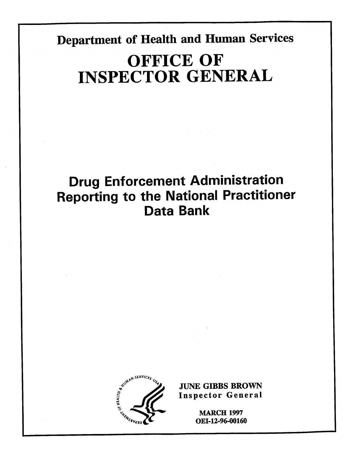**Department of Health and Human Services** 

# **OFFICE OF INSPECTOR GENERAL**

## **Drug Enforcement Administration Reporting to the National Practitioner Data Bank**



**~++ MARCH 1997 OEI-12-96-00160**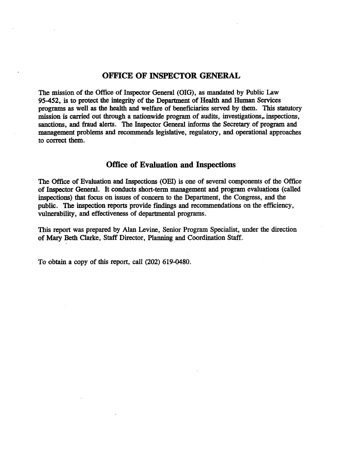#### **OFFICE OF INSPECTOR GENERAL**

The mission of the Office of Inspector General (OIG), as mandated by Public Law 95-452, is to protect the integrity of the Department of Health and Human Services programs as well as the health and welfare of beneficiaries served by them. This statutory mission is carried out through a nationwide program of audits, investigations, inspections, sanctions, and fraud alerts. The Inspector General informs the Secretary of program and management problems and recommends legislative, regulatory, and operational approaches to correct them.

#### **OffIce of Evaluation and Inspections**

The Office of Evaluation and Inspections (OEI) is one of several components of the Office of Inspector General. It conducts short-term management and program evaluations (called inspections) that focus on issues of concern to the Department, the Congress, and the public. The inspection reports provide findings and recommendations on the efficiency, vulnerability, and effectiveness of departmental programs.

This report was prepared by Alan Levine, Senior Program Specialist, under the direction of Mary Beth Clarke, Staff Director, Planning and Coordination Staff.

To obtain a copy of this report, call (202) 619-0480.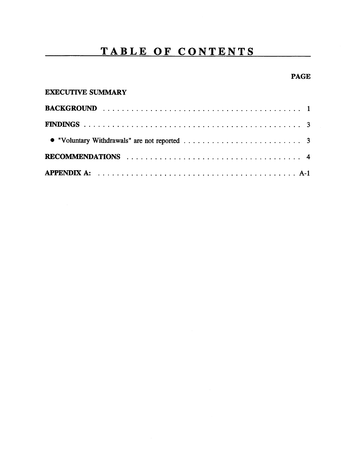### **TABLE OF CONTENTS**

#### **PAGE**

| <b>EXECUTIVE SUMMARY</b> |  |
|--------------------------|--|
|--------------------------|--|

| RECOMMENDATIONS $\ldots \ldots \ldots \ldots \ldots \ldots \ldots \ldots \ldots \ldots \ldots \ldots \ldots$ |  |
|--------------------------------------------------------------------------------------------------------------|--|
|                                                                                                              |  |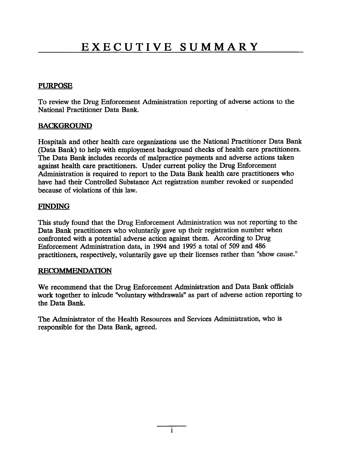#### PURPOSE

To review the Drug Enforcement Administration reporting of adverse actions to the National Practitioner Data Bank.

#### **BACKGROUND**

Hospitals and other health care organizations use the National Practitioner Data Bank (Data Bank) to help with employment background checks of health care practitioners. The Data Bank includes records of malpractice payments and adverse actions taken against health care practitioners. Under current policy the Drug Enforcement Administration is required to report to the Data Bank health care practitioners who have had their Controlled Substance Act registration number revoked or suspended because of violations of this law.

#### FINDING

This study found that the Drug Enforcement Administration was not reporting to the Data Bank practitioners who voluntarily gave up their registration number when confronted with a potential adverse action against them. According to Drug Enforcement Administration data, in 1994 and 1995 a total of 509 and 486 practitioners, respectively, voluntarily gave up their licenses rather than "show cause."

#### **RECOMMENDATION**

We recommend that the Drug Enforcement Administration and Data Bank officials work together to inlcude "voluntary withdrawals" as part of adverse action reporting to the Data Bank.

The Administrator of the Health Resources and Services Administration, who is responsible for the Data Bank, agreed.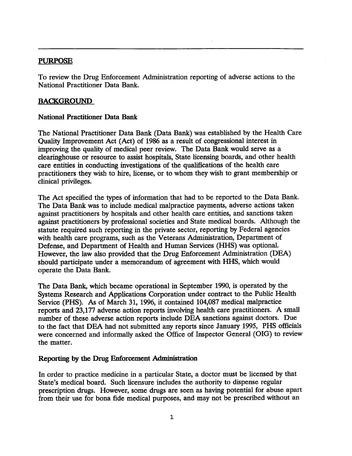#### **PURPOSE**

To review the Drug Enforcement Administration reporting of adverse actions to the National Practitioner Data Bank.

#### **BACKGROUND**

#### National Practitioner Data Bank

The National Practitioner Data Bank (Data Bank) was established by the Health Care Quality Improvement Act (Act) of 1986 as a result of congressional interest in improving the quality of medical peer review. The Data Bank would serve as a clearinghouse or resource to assist hospitals, State licensing boards, and other health care entities in conducting investigations of the qualifications of the health care practitioners they wish to hire, license, or to whom they wish to grant membership or clinical privileges.

The Act specified the types of information that had to be reported to the Data Bank. The Data Bank was to include medical malpractice payments, adverse actions taken against practitioners by hospitals and other health care entities, and sanctions taken against practitioners by professional societies and State medical boards. Although the statute required such reporting in the private sector, reporting by Federal agencies with health care programs, such as the Veterans Administration, Department of Defense, and Department of Health and Human Services (HHS) was optional. However, the law also provided that the Drug Enforcement Administration(DEA) should participate under a memorandum of agreement with HHS, which would operate the Data Bank.

The Data Bank, which became operational in September 1990, is operated by the Systems Research and Applications Corporation under contract to the Public Health Service (PHS). As of March 31, 1996, it contained 104,087 medical malpractice reports and 23,177 adverse action reports involving health care practitioners. A small number of these adverse action reports include DEA sanctions against doctors. Due to the fact that DEA had not submitted any reports since January 1995, PHS officials were concerned and informally asked the Office of Inspector General (OIG) to review the matter.

#### Reporting by the Drug Enforcement Administration

In order to practice medicine in a particular State, a doctor must be licensed by that State's medical board. Such licensure includes the authority to dispense regular prescription drugs. However, some drugs are seen as having potential for abuse apart from their use for bona fide medical purposes, and may not be prescribed without an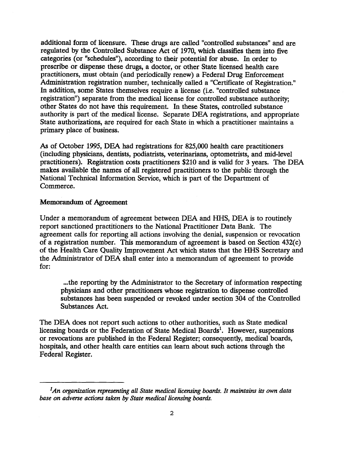additional form of licensure. These drugs are called "controlled substances"and are regulated by the Controlled Substance Act of 1970, which classifies them into five categories (or "schedules"), according to their potential for abuse. In order to prescribe or dispense these drugs, a doctor, or other State licensed health care practitioners, must obtain (and periodically renew) a Federal Drug Enforcement Administration registration number, technically called a "Certificate of Registration." In addition, some States themselves require a license (i.e. "controlled substance registration") separate from the medical license for controlled substance authority; other States do not have this requirement. In these States, controlled substance authority is part of the medical license. Separate DEA registrations, and appropriate State authorizations, are required for each State in which a practitioner maintains a primary place of business.

As of October 1995, DEA had registrations for 825,000 health care practitioners (including physicians, dentists, podiatrists, veterinarians, optometrists, and mid-level practitioners). Registration costs practitioners\$210 and is valid for 3 years. The DEA makes available the names of all registered practitioners to the public through the National Technical Information Service, which is part of the Department of Commerce.

#### Memorandum of Agreement

Under a memorandum of agreement between DEA and HHS, DEA is to routinely report sanctioned practitioners to the National Practitioner Data Bank. The agreement calls for reporting all actions involving the denial, suspension or revocation of a registration number. This memorandum of agreement is based on Section  $432(c)$ of the Health Care Quality Improvement Act which states that the HHS Secretary and the Administrator of DEA shall enter into a memorandum of agreement to provide for:

...the reporting by the Administrator to the Secretary of information respecting physicians and other practitioners whose registration to dispense controlled substances has been suspended or revoked under section 304 of the Controlled Substances Act.

The DEA does not report such actions to other authorities, such as State medical licensing boards or the Federation of State Medical Boards<sup>1</sup>. However, suspensions or revocations are published in the Federal Register; consequently, medical boards, hospitals, and other health care entities can learn about such actions through the Federal Register.

*<sup>&#</sup>x27;An organization representing all State medical licensing boards. It maintains its own data base on adverse actions taken by State medical licensing boardk*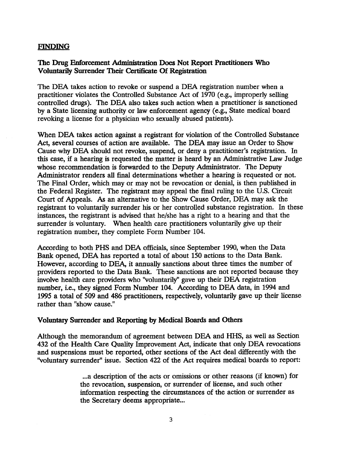#### **FINDING**

#### The Drug Enforcement Administration Does Not Report Practitioners Who Voluntarily Surrender Their Certificate Of Registration

The DEA takes action to revoke or suspend a DEA registration number when a practitioner violates the Controlled Substance Act of 1970 (e.g., improperly selling controlled drugs). The DEA also takes such action when a practitioner is sanctioned by a State licensing authority or law enforcement agency (e.g., State medical board revoking a license for a physician who sexually abused patients).

When DEA takes action against a registrant for violation of the Controlled Substance Act, several courses of action are available. The DEA may issue an Order to Show Cause why DEA should not revoke, suspend, or deny a practitioner's registration. In this case, if a hearing is requested the matter is heard by an AdministrativeLaw Judge whose recommendation is forwarded to the Deputy Administrator. The Deputy Administrator renders all final determinations whether a hearing is requested or not. The Final Order, which may or may not be revocation or denial, is then published in the Federal Register. The registrant may appeal the final ruling to the U.S. Circuit Court of Appeals. As an alternative to the Show Cause Order, DEA may ask the registrant to voluntarily surrender his or her controlled substance registration. In these instances, the registrant is advised that he/she has a right to a hearing and that the surrender is voluntary. When health care practitioners voluntarily give up their registration number, they complete Form Number 104.

According to both PHS and DEA officials, since September 1990, when the Data Bank opened, DEA has reported a total of about 150 actions to the Data Bank. However, according to DEA, it annually sanctions about three times the number of providers reported to the Data Bank. These sanctionsare not reported because they involve health care providers who "voluntarily" gave up their DEA registration number, i.e., they signed Form Number 104. According to DEA data, in 1994 and 1995 a total of 509 and 486 practitioners, respectively, voluntarily gave up their license rather than "show cause."

#### **Voluntary Surrender and Reporting by Medical Boards and Others**

Although the memorandum of agreement between DEA and HHS, as well as Section 432 of the Health Care Quality Improvement Act, indicate that only DEA revocations and suspensions must be reported, other sections of the Act deal differently with the "voluntary surrender" issue. Section 422 of the Act requires medical boards to report:

> ...a description of the acts or omissions or other reasons (if known) for the revocation, suspension, or surrender of license, and such other information respecting the circumstances of the action or surrender as the Secretary deems appropriate...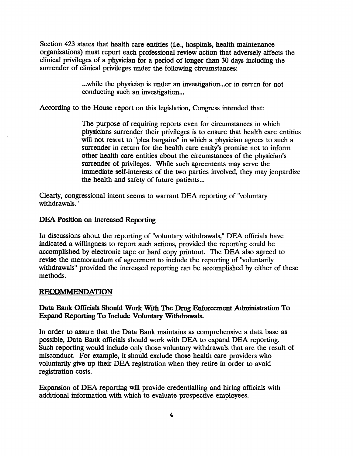Section 423 states that health care entities (i.e., hospitals, health maintenance organizations) must report each professional review action that adverselyaffects the clinical privileges of a physician for a period of longer than 30 days including the surrender of clinical privileges under the following circumstances:

> ...while the physician is under an investigation...or in return for not conducting such an investigation...

According to the House report on this legislation, Congress intended that:

The purpose of requiring reports even for circumstances in which physicians surrender their privileges is to ensure that health care entities will not resort to "plea bargains" in which a physician agrees to such a surrender in return for the health care entity's promise not to inform other health care entities about the circumstances of the physician's surrender of privileges. While such agreements may serve the immediate self-interests of the two parties involved, they may jeopardize the health and safety of future patients...

Clearly, congressional intent seems to warrant DEA reporting of "voluntary withdrawals."

#### **DEA Position on Increased Reporting**

In discussions about the reporting of "voluntary withdrawals," DEA officials have indicated a willingness to report such actions, provided the reporting could be accomplished by electronic tape or hard copy printout. The DEA also agreed to revise the memorandum of agreement to include the reporting of "voluntarily withdrawals" provided the increased reporting can be accomplished by either of these methods.

#### **RECOMMENDATION**

#### Data Bank Officials Should Work With The Drug Enforcement Administration To **Expand Reporting To Include Voluntary Withdrawals.**

In order to assure that the Data Bank maintains as comprehensive a data base as possible, Data Bank officials should work with DEA to expand DEA reporting. Such reporting would include only those voluntary withdrawals that are the result of misconduct. For example, it should exclude those health care providers who voluntarily give up their DEA registration when they retire in order to avoid registration costs.

Expansion of DEA reporting will provide credentialling and hiring officials with additional information with which to evaluate prospective employees.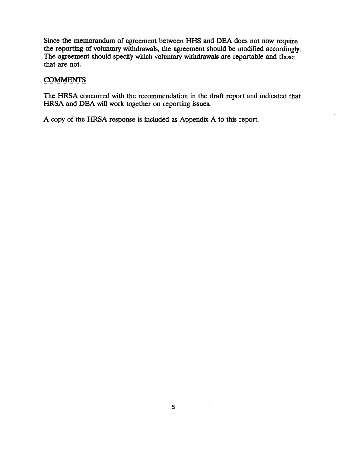Since the memorandum of agreement between HHS and DEA does not now require the reporting of voluntary withdrawals, the agreement should be modified accordingly. The agreement should specify which voluntary withdrawals are reportable and those that are not.

#### **COMMENTS**

The HRSA concurred with the recommendation in the draft report and indicated that HRSA and DEA will work together on reporting issues.

A copy of the HRSA response is included as Appendix A to this report.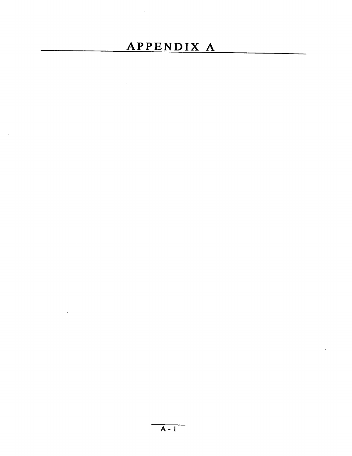## **APPENDIX A**

 $\mathcal{L}^{\text{max}}_{\text{max}}$  , where  $\mathcal{L}^{\text{max}}_{\text{max}}$ 

 $\mathcal{L}^{\text{max}}_{\text{max}}$  and  $\mathcal{L}^{\text{max}}_{\text{max}}$ 

 $\mathcal{L}^{\text{max}}_{\text{max}}$ 

 $\bar{\Delta}$ 

 $\mathbb{Z}^2$